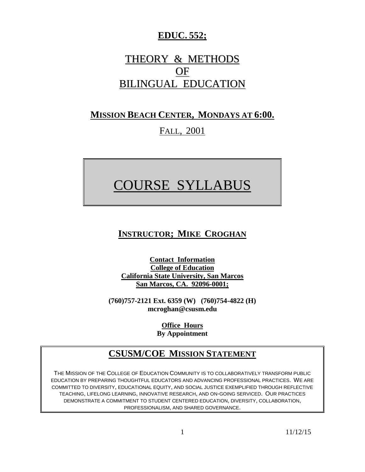# **EDUC. 552;**

# THEORY & METHODS OF BILINGUAL EDUCATION

## **MISSION BEACH CENTER, MONDAYS AT 6:00.**

# FALL, 2001

# COURSE SYLLABUS

# **INSTRUCTOR; MIKE CROGHAN**

**Contact Information College of Education California State University, San Marcos San Marcos, CA. 92096-0001;**

**(760)757-2121 Ext. 6359 (W) (760)754-4822 (H) mcroghan@csusm.edu**

> **Office Hours By Appointment**

# **CSUSM/COE MISSION STATEMENT**

THE MISSION OF THE COLLEGE OF EDUCATION COMMUNITY IS TO COLLABORATIVELY TRANSFORM PUBLIC EDUCATION BY PREPARING THOUGHTFUL EDUCATORS AND ADVANCING PROFESSIONAL PRACTICES. WE ARE COMMITTED TO DIVERSITY, EDUCATIONAL EQUITY, AND SOCIAL JUSTICE EXEMPLIFIED THROUGH REFLECTIVE TEACHING, LIFELONG LEARNING, INNOVATIVE RESEARCH, AND ON-GOING SERVICED. OUR PRACTICES DEMONSTRATE A COMMITMENT TO STUDENT CENTERED EDUCATION, DIVERSITY, COLLABORATION, PROFESSIONALISM, AND SHARED GOVERNANCE.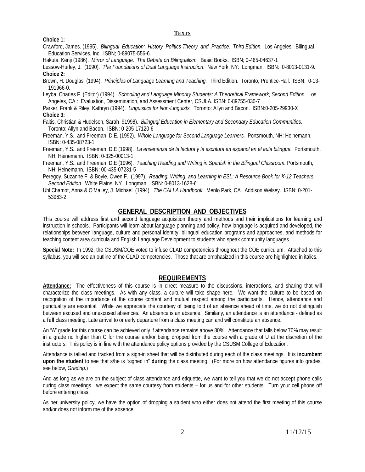#### **TEXTS**

**Choice 1:**

Crawford, James. (1995). *Bilingual Education: History Politics Theory and Practice. Third Edition.* Los Angeles. Bilingual Education Services, Inc. ISBN; 0-89075-556-6.

Hakuta, Kenji (1986). *Mirror of Language. The Debate on Bilingualism.* Basic Books. ISBN; 0-465-04637-1

Lessow-Hurley, J. (1990). *The Foundations of Dual Language Instruction*. New York, NY: Longman. ISBN: 0-8013-0131-9. **Choice 2:**

Brown, H. Douglas (1994). *Principles of Language Learning and Teaching.* Third Edition. Toronto, Prentice-Hall. ISBN: 0-13- 191966-0.

Leyba, Charles F. (Editor) (1994). *Schooling and Language Minority Students: A Theoretical Framework; Second Edition.* Los Angeles, CA.: Evaluation, Dissemination, and Assessment Center, CSULA. ISBN: 0-89755-030-7

Parker, Frank & Riley, Kathryn (1994). *Linguistics for Non-Linguists.* Toronto: Allyn and Bacon. ISBN:0-205-29930-X **Choice 3:**

- Faltis, Christian & Hudelson, Sarah 91998). *Bilinguql Education in Elementary and Secondary Education Communities.* Toronto: Allyn and Bacon. ISBN: 0-205-17120-6
- Freeman, Y.S., and Freeman, D.E. (1992). *Whole Language for Second Language Learners.* Portsmouth, NH: Heinemann. ISBN: 0-435-08723-1
- Freeman, Y.S., and Freeman, D.E (1998). *La ensenanza de la lectura y la escritura en espanol en el aula bilingue.* Portsmouth, NH: Heinemann. ISBN: 0-325-00013-1

Freeman, Y.S., and Freeman, D.E (1996). *Teaching Reading and Writing in Spanish in the Bilingual Classroom.* Portsmouth, NH: Heinemann. ISBN: 00-435-07231-5

Peregoy, Suzanne F. & Boyle, Owen F. (1997). *Reading, Writing, and Learning in ESL: A Resource Book for K-12 Teachers. Second Edition.* White Plains, NY. Longman. ISBN: 0-8013-1628-6.

Uhl Chamot, Anna & O'Malley, J. Michael (1994). *The CALLA Handbook*. Menlo Park, CA. Addison Welsey. ISBN: 0-201- 53963-2

### **GENERAL DESCRIPTION AND OBJECTIVES**

This course will address first and second language acquisition theory and methods and their implications for learning and instruction in schools. Participants will learn about language planning and policy, how language is acquired and developed, the relationships between language, culture and personal identity, bilingual education programs and approaches, and methods for teaching content area curricula and English Language Development to students who speak community languages.

**Special Note:** In 1992, the CSUSM/COE voted to infuse CLAD competencies throughout the COE curriculum. Attached to this syllabus, you will see an outline of the CLAD competencies. Those that are emphasized in this course are highlighted in italics.

## **REQUIREMENTS**

**Attendance:** The effectiveness of this course is in direct measure to the discussions, interactions, and sharing that will characterize the class meetings. As with any class, a culture will take shape here. We want the culture to be based on recognition of the importance of the course content and mutual respect among the participants. Hence, attendance and punctuality are essential. While we appreciate the courtesy of being told of an absence ahead of time, we do not distinguish between excused and unexcused absences. An absence is an absence. Similarly, an attendance is an attendance - defined as a **full** class meeting. Late arrival to or early departure from a class meeting can and will constitute an absence.

An "A" grade for this course can be achieved only if attendance remains above 80%. Attendance that falls below 70% may result in a grade no higher than C for the course and/or being dropped from the course with a grade of U at the discretion of the instructors. This policy is in line with the attendance policy options provided by the CSUSM College of Education.

Attendance is tallied and tracked from a sign-in sheet that will be distributed during each of the class meetings. It is **incumbent upon the student** to see that s/he is "signed in" **during** the class meeting. (For more on how attendance figures into grades, see below, *Grading.*)

And as long as we are on the subject of class attendance and etiquette, we want to tell you that we do not accept phone calls during class meetings. we expect the same courtesy from students – for us and for other students. Turn your cell phone off before entering class.

As per university policy, we have the option of dropping a student who either does not attend the first meeting of this course and/or does not inform me of the absence.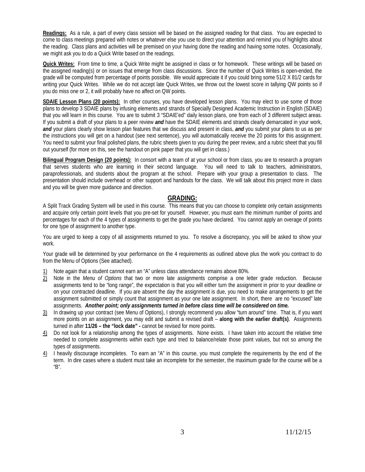**Readings:** As a rule, a part of every class session will be based on the assigned reading for that class. You are expected to come to class meetings prepared with notes or whatever else you use to direct your attention and remind you of highlights about the reading. Class plans and activities will be premised on your having done the reading and having some notes. Occasionally, we might ask you to do a Quick Write based on the readings.

**Quick Writes:** From time to time, a Quick Write might be assigned in class or for homework. These writings will be based on the assigned reading(s) or on issues that emerge from class discussions. Since the number of Quick Writes is open-ended, the grade will be computed from percentage of points possible. We would appreciate it if you could bring some 51/2 X 81/2 cards for writing your Quick Writes. While we do not accept late Quick Writes, we throw out the lowest score in tallying QW points so if you do miss one or 2, it will probably have no affect on QW points.

**SDAIE Lesson Plans (20 points):** In other courses, you have developed lesson plans. You may elect to use some of those plans to develop 3 SDAIE plans by infusing elements and strands of Specially Designed Academic Instruction in English (SDAIE) that you will learn in this course. You are to submit 3 "SDAIE'ed" daily lesson plans, one from each of 3 different subject areas. If you submit a draft of your plans to a peer review *and* have the SDAIE elements and strands clearly demarcated in your work, *and* your plans clearly show lesson plan features that we discuss and present in class, *and* you submit your plans to us as per the instructions you will get on a handout (see next sentence), you will automatically receive the 20 points for this assignment. You need to submit your final polished plans, the rubric sheets given to you during the peer review, and a rubric sheet that you fill out yourself (for more on this, see the handout on pink paper that you will get in class.)

**Bilingual Program Design (20 points):** In consort with a team of at your school or from class, you are to research a program that serves students who are learning in their second language. You will need to talk to teachers, administrators, paraprofessionals, and students about the program at the school. Prepare with your group a presentation to class. The presentation should include overhead or other support and handouts for the class. We will talk about this project more in class and you will be given more guidance and direction.

#### **GRADING:**

A Split Track Grading System will be used in this course. This means that you can choose to complete only certain assignments and acquire only certain point levels that you pre-set for yourself. However, you must earn the minimum number of points and percentages for each of the 4 types of assignments to get the grade you have declared. You cannot apply an overage of points for one type of assignment to another type.

You are urged to keep a copy of all assignments returned to you. To resolve a discrepancy, you will be asked to show your work.

Your grade will be determined by your performance on the 4 requirements as outlined above plus the work you contract to do from the Menu of Options (See attached).

- 1) Note again that a student cannot earn an "A" unless class attendance remains above 80%.
- 2) Note in the *Menu of Options* that two or more late assignments comprise a one letter grade reduction. Because assignments tend to be "long range", the expectation is that you will either turn the assignment in prior to your deadline or on your contracted deadline. If you are absent the day the assignment is due, you need to make arrangements to get the assignment submitted or simply count that assignment as your one late assignment. In short, there are no "excused" late assignments. *Another point; only assignments turned in before class time will be considered on time.*
- 3) In drawing up your contract (see Menu of Options), I strongly recommend you allow "turn around" time. That is, if you want more points on an assignment, you may edit and submit a revised draft – **along with the earlier draft(s)**. Assignments turned in after **11/26 – the "lock date" -** cannot be revised for more points.
- 4) Do not look for a relationship among the types of assignments. None exists. I have taken into account the relative time needed to complete assignments *within* each type and tried to balance/relate those point values, but not so *among* the types of assignments.
- $4)$  I heavily discourage incompletes. To earn an "A" in this course, you must complete the requirements by the end of the term. In dire cases where a student must take an incomplete for the semester, the maximum grade for the course will be a "B".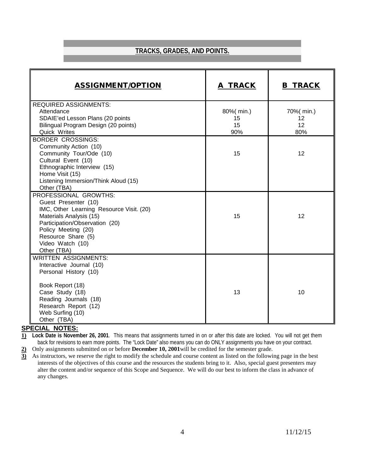## **TRACKS, GRADES, AND POINTS.**

| <b>ASSIGNMENT/OPTION</b>                                                                                                                                                                                                               | A TRACK                      | <b>B TRACK</b>                |
|----------------------------------------------------------------------------------------------------------------------------------------------------------------------------------------------------------------------------------------|------------------------------|-------------------------------|
| <b>REQUIRED ASSIGNMENTS:</b><br>Attendance<br>SDAIE'ed Lesson Plans (20 points<br>Bilingual Program Design (20 points)<br>Quick Writes                                                                                                 | 80%(min.)<br>15<br>15<br>90% | 70%( min.)<br>12<br>12<br>80% |
| <b>BORDER CROSSINGS:</b><br>Community Action (10)<br>Community Tour/Ode (10)<br>Cultural Event (10)<br>Ethnographic Interview (15)<br>Home Visit (15)<br>Listening Immersion/Think Aloud (15)<br>Other (TBA)                           | 15                           | 12                            |
| PROFESSIONAL GROWTHS:<br>Guest Presenter (10)<br>IMC, Other Learning Resource Visit. (20)<br>Materials Analysis (15)<br>Participation/Observation (20)<br>Policy Meeting (20)<br>Resource Share (5)<br>Video Watch (10)<br>Other (TBA) | 15                           | 12                            |
| <b>WRITTEN ASSIGNMENTS:</b><br>Interactive Journal (10)<br>Personal History (10)<br>Book Report (18)<br>Case Study (18)<br>Reading Journals (18)<br>Research Report (12)<br>Web Surfing (10)<br>Other (TBA)                            | 13                           | 10                            |

#### **SPECIAL NOTES:**

**1) Lock Date is November 26, 2001**. This means that assignments turned in on or after this date are locked. You will not get them back for revisions to earn more points. The "Lock Date" also means you can do ONLY assignments you have on your contract.

**2)** Only assignments submitted on or before **December 10, 2001**will be credited for the semester grade.

**3)** As instructors, we reserve the right to modify the schedule and course content as listed on the following page in the best interests of the objectives of this course and the resources the students bring to it. Also, special guest presenters may alter the content and/or sequence of this Scope and Sequence. We will do our best to inform the class in advance of any changes.